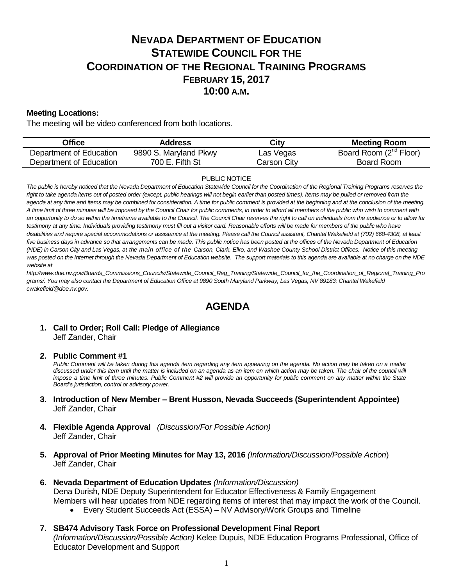# **NEVADA DEPARTMENT OF EDUCATION STATEWIDE COUNCIL FOR THE COORDINATION OF THE REGIONAL TRAINING PROGRAMS FEBRUARY 15, 2017 10:00 A.M.**

## **Meeting Locations:**

The meeting will be video conferenced from both locations.

| Office                  | Address               | City        | <b>Meeting Room</b>                |
|-------------------------|-----------------------|-------------|------------------------------------|
| Department of Education | 9890 S. Maryland Pkwy | Las Vegas   | Board Room (2 <sup>nd</sup> Floor) |
| Department of Education | 700 E. Fifth St       | Carson City | Board Room                         |

#### PUBLIC NOTICE

The public is hereby noticed that the Nevada Department of Education Statewide Council for the Coordination of the Regional Training Programs reserves the right to take agenda items out of posted order (except, public hearings will not begin earlier than posted times). Items may be pulled or removed from the *agenda at any time and items may be combined for consideration. A time for public comment is provided at the beginning and at the conclusion of the meeting. A time limit of three minutes will be imposed by the Council Chair for public comments, in order to afford all members of the public who wish to comment with an opportunity to do so within the timeframe available to the Council. The Council Chair reserves the right to call on individuals from the audience or to allow for testimony at any time. Individuals providing testimony must fill out a visitor card. Reasonable efforts will be made for members of the public who have disabilities and require special accommodations or assistance at the meeting. Please call the Council assistant, Chantel Wakefield at (702) 668-4308, at least five business days in advance so that arrangements can be made. This public notice has been posted at the offices of the Nevada Department of Education (NDE) in Carson City and Las Vegas, at the main office of the Carson, Clark, Elko, and Washoe County School District Offices. Notice of this meeting was posted on the Internet through th[e Nevada Department of Education w](http://www.doe.nv.gov/)ebsite. The support materials to this agenda are available at no charge on the NDE website at* 

*http://www.doe.nv.gov/Boards\_Commissions\_Councils/Statewide\_Council\_Reg\_Training/Statewide\_Council\_for\_the\_Coordination\_of\_Regional\_Training\_Pro grams/. You may also contact the Department of Education Office at 9890 South Maryland Parkway, Las Vegas, NV 89183; Chantel Wakefield cwakefield@doe.nv.gov.*

## **AGENDA**

## **1. Call to Order; Roll Call: Pledge of Allegiance** Jeff Zander, Chair

#### **2. Public Comment #1**

Public Comment will be taken during this agenda item regarding any item appearing on the agenda. No action may be taken on a matter discussed under this item until the matter is included on an agenda as an item on which action may be taken. The chair of the council will *impose a time limit of three minutes. Public Comment #2 will provide an opportunity for public comment on any matter within the State Board's jurisdiction, control or advisory power.*

- **3. Introduction of New Member – Brent Husson, Nevada Succeeds (Superintendent Appointee)** Jeff Zander, Chair
- **4. Flexible Agenda Approval** *(Discussion/For Possible Action)* Jeff Zander, Chair
- **5. Approval of Prior Meeting Minutes for May 13, 2016** *(Information/Discussion/Possible Action*) Jeff Zander, Chair
- **6. Nevada Department of Education Updates** *(Information/Discussion)* Dena Durish, NDE Deputy Superintendent for Educator Effectiveness & Family Engagement Members will hear updates from NDE regarding items of interest that may impact the work of the Council.
	- Every Student Succeeds Act (ESSA) NV Advisory/Work Groups and Timeline
- **7. SB474 Advisory Task Force on Professional Development Final Report**  *(Information/Discussion/Possible Action)* Kelee Dupuis, NDE Education Programs Professional, Office of Educator Development and Support